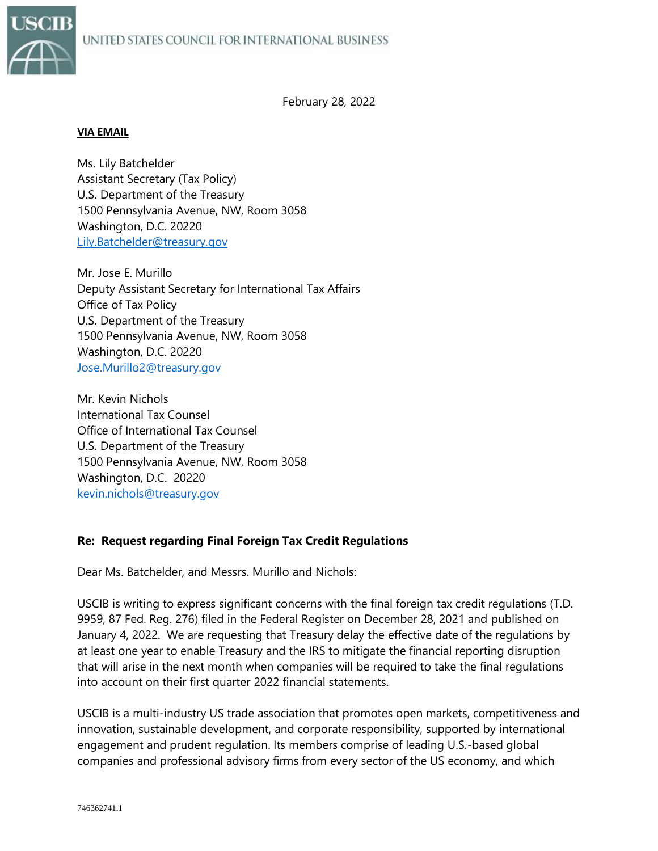

February 28, 2022

#### **VIA EMAIL**

Ms. Lily Batchelder Assistant Secretary (Tax Policy) U.S. Department of the Treasury 1500 Pennsylvania Avenue, NW, Room 3058 Washington, D.C. 20220 [Lily.Batchelder@treasury.gov](mailto:Lily.Batchelder@treasury.gov)

Mr. Jose E. Murillo Deputy Assistant Secretary for International Tax Affairs Office of Tax Policy U.S. Department of the Treasury 1500 Pennsylvania Avenue, NW, Room 3058 Washington, D.C. 20220 [Jose.Murillo2@treasury.gov](mailto:Jose.Murillo2@treasury.gov)

Mr. Kevin Nichols International Tax Counsel Office of International Tax Counsel U.S. Department of the Treasury 1500 Pennsylvania Avenue, NW, Room 3058 Washington, D.C. 20220 [kevin.nichols@treasury.gov](mailto:kevin.nichols@treasury.gov)

## **Re: Request regarding Final Foreign Tax Credit Regulations**

Dear Ms. Batchelder, and Messrs. Murillo and Nichols:

USCIB is writing to express significant concerns with the final foreign tax credit regulations (T.D. 9959, 87 Fed. Reg. 276) filed in the Federal Register on December 28, 2021 and published on January 4, 2022. We are requesting that Treasury delay the effective date of the regulations by at least one year to enable Treasury and the IRS to mitigate the financial reporting disruption that will arise in the next month when companies will be required to take the final regulations into account on their first quarter 2022 financial statements.

USCIB is a multi-industry US trade association that promotes open markets, competitiveness and innovation, sustainable development, and corporate responsibility, supported by international engagement and prudent regulation. Its members comprise of leading U.S.-based global companies and professional advisory firms from every sector of the US economy, and which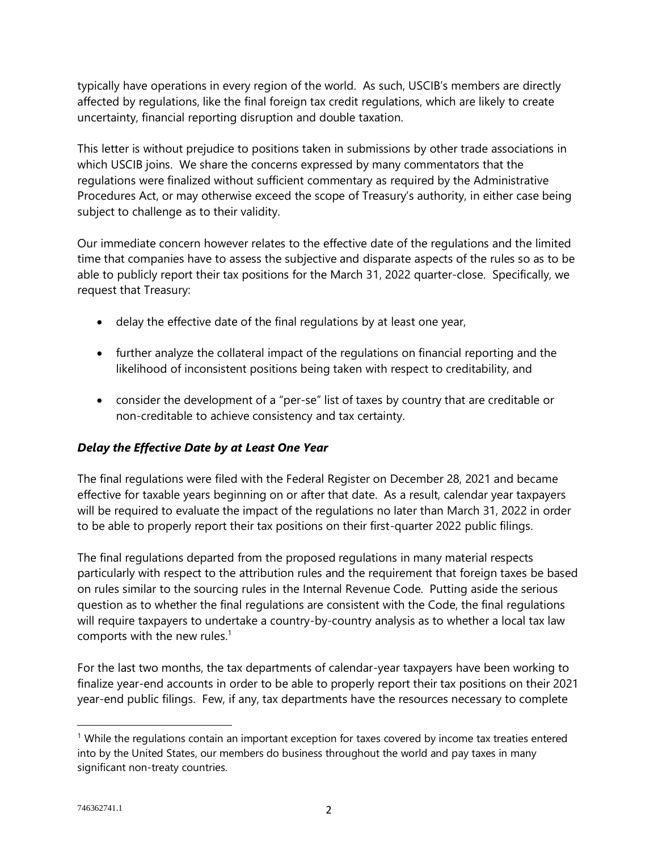typically have operations in every region of the world. As such, USCIB's members are directly affected by regulations, like the final foreign tax credit regulations, which are likely to create uncertainty, financial reporting disruption and double taxation.

This letter is without prejudice to positions taken in submissions by other trade associations in which USCIB joins. We share the concerns expressed by many commentators that the regulations were finalized without sufficient commentary as required by the Administrative Procedures Act, or may otherwise exceed the scope of Treasury's authority, in either case being subject to challenge as to their validity.

Our immediate concern however relates to the effective date of the regulations and the limited time that companies have to assess the subjective and disparate aspects of the rules so as to be able to publicly report their tax positions for the March 31, 2022 quarter-close. Specifically, we request that Treasury:

- delay the effective date of the final regulations by at least one year,
- further analyze the collateral impact of the regulations on financial reporting and the likelihood of inconsistent positions being taken with respect to creditability, and
- consider the development of a "per-se" list of taxes by country that are creditable or non-creditable to achieve consistency and tax certainty.

# *Delay the Effective Date by at Least One Year*

The final regulations were filed with the Federal Register on December 28, 2021 and became effective for taxable years beginning on or after that date. As a result, calendar year taxpayers will be required to evaluate the impact of the regulations no later than March 31, 2022 in order to be able to properly report their tax positions on their first-quarter 2022 public filings.

The final regulations departed from the proposed regulations in many material respects particularly with respect to the attribution rules and the requirement that foreign taxes be based on rules similar to the sourcing rules in the Internal Revenue Code. Putting aside the serious question as to whether the final regulations are consistent with the Code, the final regulations will require taxpayers to undertake a country-by-country analysis as to whether a local tax law comports with the new rules. $1$ 

For the last two months, the tax departments of calendar-year taxpayers have been working to finalize year-end accounts in order to be able to properly report their tax positions on their 2021 year-end public filings. Few, if any, tax departments have the resources necessary to complete

 $<sup>1</sup>$  While the regulations contain an important exception for taxes covered by income tax treaties entered</sup> into by the United States, our members do business throughout the world and pay taxes in many significant non-treaty countries.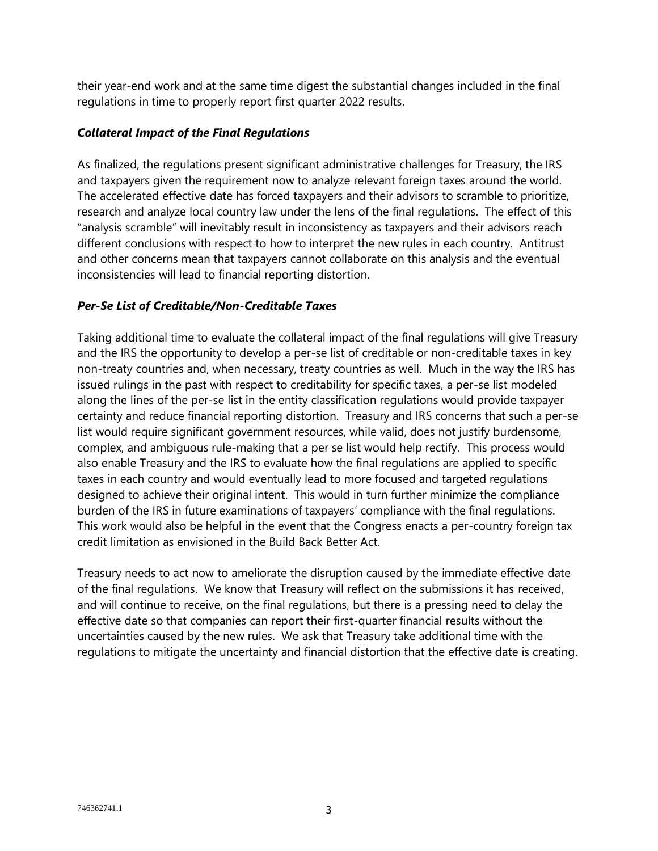their year-end work and at the same time digest the substantial changes included in the final regulations in time to properly report first quarter 2022 results.

### *Collateral Impact of the Final Regulations*

As finalized, the regulations present significant administrative challenges for Treasury, the IRS and taxpayers given the requirement now to analyze relevant foreign taxes around the world. The accelerated effective date has forced taxpayers and their advisors to scramble to prioritize, research and analyze local country law under the lens of the final regulations. The effect of this "analysis scramble" will inevitably result in inconsistency as taxpayers and their advisors reach different conclusions with respect to how to interpret the new rules in each country. Antitrust and other concerns mean that taxpayers cannot collaborate on this analysis and the eventual inconsistencies will lead to financial reporting distortion.

### *Per-Se List of Creditable/Non-Creditable Taxes*

Taking additional time to evaluate the collateral impact of the final regulations will give Treasury and the IRS the opportunity to develop a per-se list of creditable or non-creditable taxes in key non-treaty countries and, when necessary, treaty countries as well. Much in the way the IRS has issued rulings in the past with respect to creditability for specific taxes, a per-se list modeled along the lines of the per-se list in the entity classification regulations would provide taxpayer certainty and reduce financial reporting distortion. Treasury and IRS concerns that such a per-se list would require significant government resources, while valid, does not justify burdensome, complex, and ambiguous rule-making that a per se list would help rectify. This process would also enable Treasury and the IRS to evaluate how the final regulations are applied to specific taxes in each country and would eventually lead to more focused and targeted regulations designed to achieve their original intent. This would in turn further minimize the compliance burden of the IRS in future examinations of taxpayers' compliance with the final regulations. This work would also be helpful in the event that the Congress enacts a per-country foreign tax credit limitation as envisioned in the Build Back Better Act.

Treasury needs to act now to ameliorate the disruption caused by the immediate effective date of the final regulations. We know that Treasury will reflect on the submissions it has received, and will continue to receive, on the final regulations, but there is a pressing need to delay the effective date so that companies can report their first-quarter financial results without the uncertainties caused by the new rules. We ask that Treasury take additional time with the regulations to mitigate the uncertainty and financial distortion that the effective date is creating.